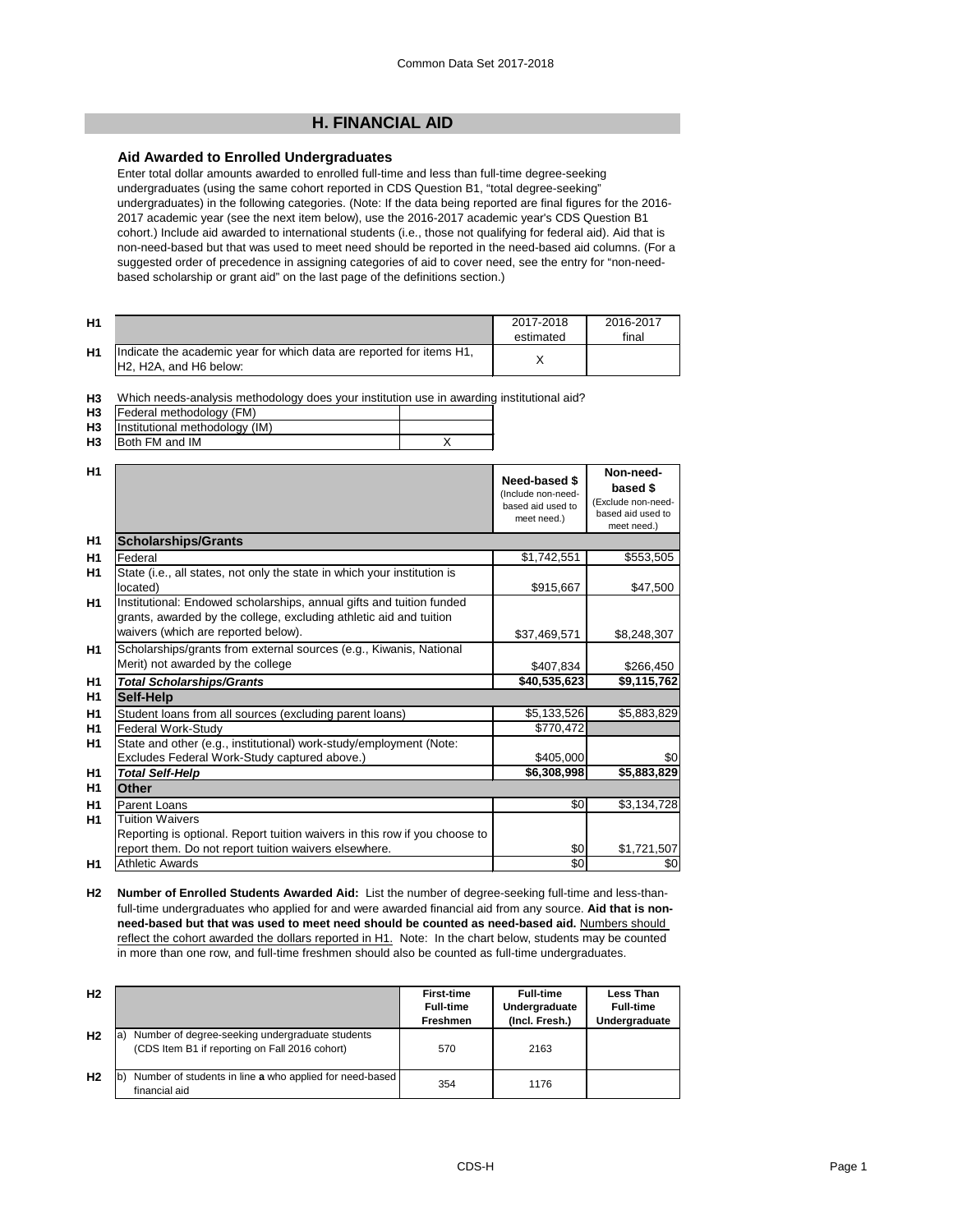# **H. FINANCIAL AID**

## **Aid Awarded to Enrolled Undergraduates**

Enter total dollar amounts awarded to enrolled full-time and less than full-time degree-seeking undergraduates (using the same cohort reported in CDS Question B1, "total degree-seeking" undergraduates) in the following categories. (Note: If the data being reported are final figures for the 2016- 2017 academic year (see the next item below), use the 2016-2017 academic year's CDS Question B1 cohort.) Include aid awarded to international students (i.e., those not qualifying for federal aid). Aid that is non-need-based but that was used to meet need should be reported in the need-based aid columns. (For a suggested order of precedence in assigning categories of aid to cover need, see the entry for "non-needbased scholarship or grant aid" on the last page of the definitions section.)

| H <sub>1</sub> |                                                                                                                                      | 2017-2018<br>estimated | 2016-2017<br>final |
|----------------|--------------------------------------------------------------------------------------------------------------------------------------|------------------------|--------------------|
| H1             | Indicate the academic year for which data are reported for items H1,<br>H <sub>2</sub> , H <sub>2</sub> A, and H <sub>6</sub> below: |                        |                    |

**H3** Which needs-analysis methodology does your institution use in awarding institutional aid?

| <b>H3</b> | [Federal methodology (FM)      |  |
|-----------|--------------------------------|--|
| <b>H3</b> | Institutional methodology (IM) |  |
| H3        | Both FM and IM                 |  |

| H1             |                                                                                                                                                                                   | <b>Need-based \$</b><br>(Include non-need-<br>based aid used to<br>meet need.) | Non-need-<br>based \$<br>(Exclude non-need-<br>based aid used to<br>meet need.) |
|----------------|-----------------------------------------------------------------------------------------------------------------------------------------------------------------------------------|--------------------------------------------------------------------------------|---------------------------------------------------------------------------------|
| H1             | <b>Scholarships/Grants</b>                                                                                                                                                        |                                                                                |                                                                                 |
| H <sub>1</sub> | Federal                                                                                                                                                                           | \$1,742,551                                                                    | \$553,505                                                                       |
| H <sub>1</sub> | State (i.e., all states, not only the state in which your institution is<br>located)                                                                                              | \$915,667                                                                      | \$47,500                                                                        |
| H <sub>1</sub> | Institutional: Endowed scholarships, annual gifts and tuition funded<br>grants, awarded by the college, excluding athletic aid and tuition<br>waivers (which are reported below). | \$37,469,571                                                                   | \$8,248,307                                                                     |
| <b>H1</b>      | Scholarships/grants from external sources (e.g., Kiwanis, National<br>Merit) not awarded by the college                                                                           | \$407,834                                                                      | \$266,450                                                                       |
| H <sub>1</sub> | <b>Total Scholarships/Grants</b>                                                                                                                                                  | \$40,535,623                                                                   | \$9,115,762                                                                     |
| H1             | Self-Help                                                                                                                                                                         |                                                                                |                                                                                 |
| H1             | Student loans from all sources (excluding parent loans)                                                                                                                           | \$5,133,526                                                                    | \$5,883,829                                                                     |
| H1             | <b>Federal Work-Study</b>                                                                                                                                                         | \$770,472                                                                      |                                                                                 |
| H <sub>1</sub> | State and other (e.g., institutional) work-study/employment (Note:                                                                                                                |                                                                                |                                                                                 |
|                | Excludes Federal Work-Study captured above.)                                                                                                                                      | \$405,000                                                                      | \$0                                                                             |
| H <sub>1</sub> | <b>Total Self-Help</b>                                                                                                                                                            | \$6,308,998                                                                    | \$5,883,829                                                                     |
| H1             | <b>Other</b>                                                                                                                                                                      |                                                                                |                                                                                 |
| H1             | <b>Parent Loans</b>                                                                                                                                                               | \$0                                                                            | \$3,134,728                                                                     |
| H1             | <b>Tuition Waivers</b>                                                                                                                                                            |                                                                                |                                                                                 |
|                | Reporting is optional. Report tuition waivers in this row if you choose to                                                                                                        |                                                                                |                                                                                 |
|                | report them. Do not report tuition waivers elsewhere.                                                                                                                             | \$0                                                                            | \$1,721,507                                                                     |
| H1             | <b>Athletic Awards</b>                                                                                                                                                            | \$0                                                                            | \$0                                                                             |

**H2 Number of Enrolled Students Awarded Aid:** List the number of degree-seeking full-time and less-thanfull-time undergraduates who applied for and were awarded financial aid from any source. **Aid that is nonneed-based but that was used to meet need should be counted as need-based aid.** Numbers should reflect the cohort awarded the dollars reported in H1. Note: In the chart below, students may be counted in more than one row, and full-time freshmen should also be counted as full-time undergraduates.

| H <sub>2</sub> |                                                                                                   | <b>First-time</b><br><b>Full-time</b><br><b>Freshmen</b> | <b>Full-time</b><br>Undergraduate<br>(Incl. Fresh.) | Less Than<br><b>Full-time</b><br>Undergraduate |
|----------------|---------------------------------------------------------------------------------------------------|----------------------------------------------------------|-----------------------------------------------------|------------------------------------------------|
| H <sub>2</sub> | Number of degree-seeking undergraduate students<br>(CDS Item B1 if reporting on Fall 2016 cohort) | 570                                                      | 2163                                                |                                                |
| H <sub>2</sub> | Number of students in line a who applied for need-based<br>financial aid                          | 354                                                      | 1176                                                |                                                |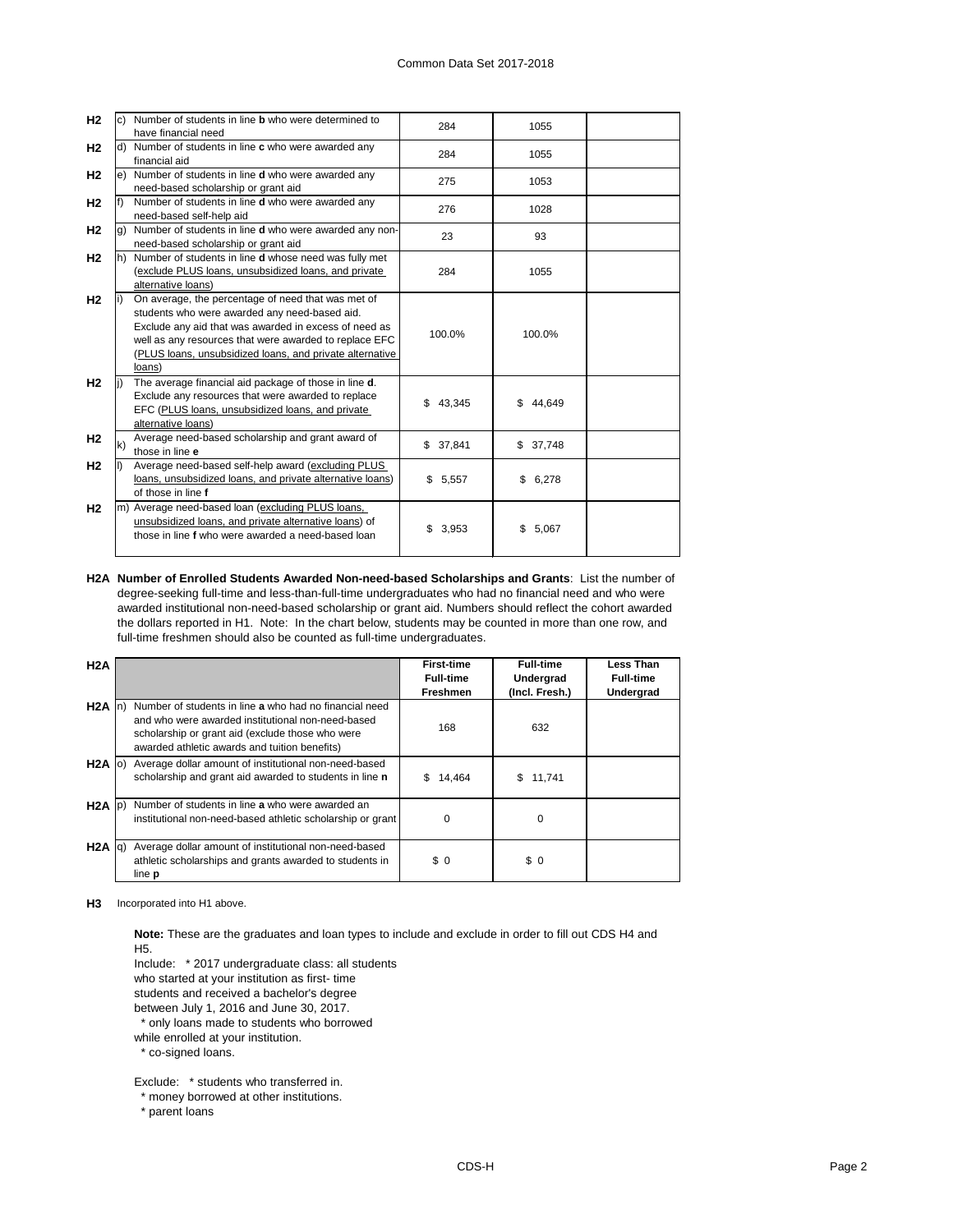| H <sub>2</sub> |     | Number of students in line <b>b</b> who were determined to<br>have financial need                                                                                                                                                                                                            | 284         | 1055          |  |
|----------------|-----|----------------------------------------------------------------------------------------------------------------------------------------------------------------------------------------------------------------------------------------------------------------------------------------------|-------------|---------------|--|
| H <sub>2</sub> | d)  | Number of students in line c who were awarded any<br>financial aid                                                                                                                                                                                                                           | 284         | 1055          |  |
| H <sub>2</sub> | le) | Number of students in line <b>d</b> who were awarded any<br>need-based scholarship or grant aid                                                                                                                                                                                              | 275         | 1053          |  |
| H <sub>2</sub> |     | Number of students in line d who were awarded any<br>need-based self-help aid                                                                                                                                                                                                                | 276         | 1028          |  |
| H <sub>2</sub> | g)  | Number of students in line d who were awarded any non-<br>need-based scholarship or grant aid                                                                                                                                                                                                | 23          | 93            |  |
| H <sub>2</sub> | lh) | Number of students in line d whose need was fully met<br>(exclude PLUS loans, unsubsidized loans, and private<br>alternative loans)                                                                                                                                                          | 284         | 1055          |  |
| H <sub>2</sub> |     | On average, the percentage of need that was met of<br>students who were awarded any need-based aid.<br>Exclude any aid that was awarded in excess of need as<br>well as any resources that were awarded to replace EFC<br>(PLUS loans, unsubsidized loans, and private alternative<br>loans) | 100.0%      | 100.0%        |  |
| H <sub>2</sub> |     | The average financial aid package of those in line d.<br>Exclude any resources that were awarded to replace<br>EFC (PLUS loans, unsubsidized loans, and private<br>alternative loans)                                                                                                        | \$43,345    | \$.<br>44,649 |  |
| H <sub>2</sub> | k)  | Average need-based scholarship and grant award of<br>those in line e                                                                                                                                                                                                                         | \$37,841    | \$37,748      |  |
| H <sub>2</sub> |     | Average need-based self-help award (excluding PLUS<br>loans, unsubsidized loans, and private alternative loans)<br>of those in line f                                                                                                                                                        | \$5,557     | \$<br>6,278   |  |
| H <sub>2</sub> |     | m) Average need-based loan (excluding PLUS loans,<br>unsubsidized loans, and private alternative loans) of<br>those in line f who were awarded a need-based loan                                                                                                                             | \$<br>3,953 | \$<br>5,067   |  |

**H2A Number of Enrolled Students Awarded Non-need-based Scholarships and Grants**: List the number of degree-seeking full-time and less-than-full-time undergraduates who had no financial need and who were awarded institutional non-need-based scholarship or grant aid. Numbers should reflect the cohort awarded the dollars reported in H1. Note: In the chart below, students may be counted in more than one row, and full-time freshmen should also be counted as full-time undergraduates.

| H2A                 |                                                                                                                                                                                                                  | <b>First-time</b><br><b>Full-time</b><br><b>Freshmen</b> | <b>Full-time</b><br>Undergrad<br>(Incl. Fresh.) | Less Than<br><b>Full-time</b><br><b>Undergrad</b> |
|---------------------|------------------------------------------------------------------------------------------------------------------------------------------------------------------------------------------------------------------|----------------------------------------------------------|-------------------------------------------------|---------------------------------------------------|
| H <sub>2</sub> A In | Number of students in line a who had no financial need<br>and who were awarded institutional non-need-based<br>scholarship or grant aid (exclude those who were<br>awarded athletic awards and tuition benefits) | 168                                                      | 632                                             |                                                   |
| $H2A$ (o)           | Average dollar amount of institutional non-need-based<br>scholarship and grant aid awarded to students in line n                                                                                                 | 14,464<br>S.                                             | S.<br>11,741                                    |                                                   |
| $H2A$ $ p\rangle$   | Number of students in line a who were awarded an<br>institutional non-need-based athletic scholarship or grant                                                                                                   | 0                                                        | 0                                               |                                                   |
| $H2A$ $ q\rangle$   | Average dollar amount of institutional non-need-based<br>athletic scholarships and grants awarded to students in<br>line <b>p</b>                                                                                | \$0                                                      | \$0                                             |                                                   |

**H3** Incorporated into H1 above.

**Note:** These are the graduates and loan types to include and exclude in order to fill out CDS H4 and H5.

Include: \* 2017 undergraduate class: all students

who started at your institution as first- time

students and received a bachelor's degree

between July 1, 2016 and June 30, 2017.

\* only loans made to students who borrowed

while enrolled at your institution.

 $^{\circ}$  co-signed loans.

Exclude: \* students who transferred in.

\* money borrowed at other institutions.

\* parent loans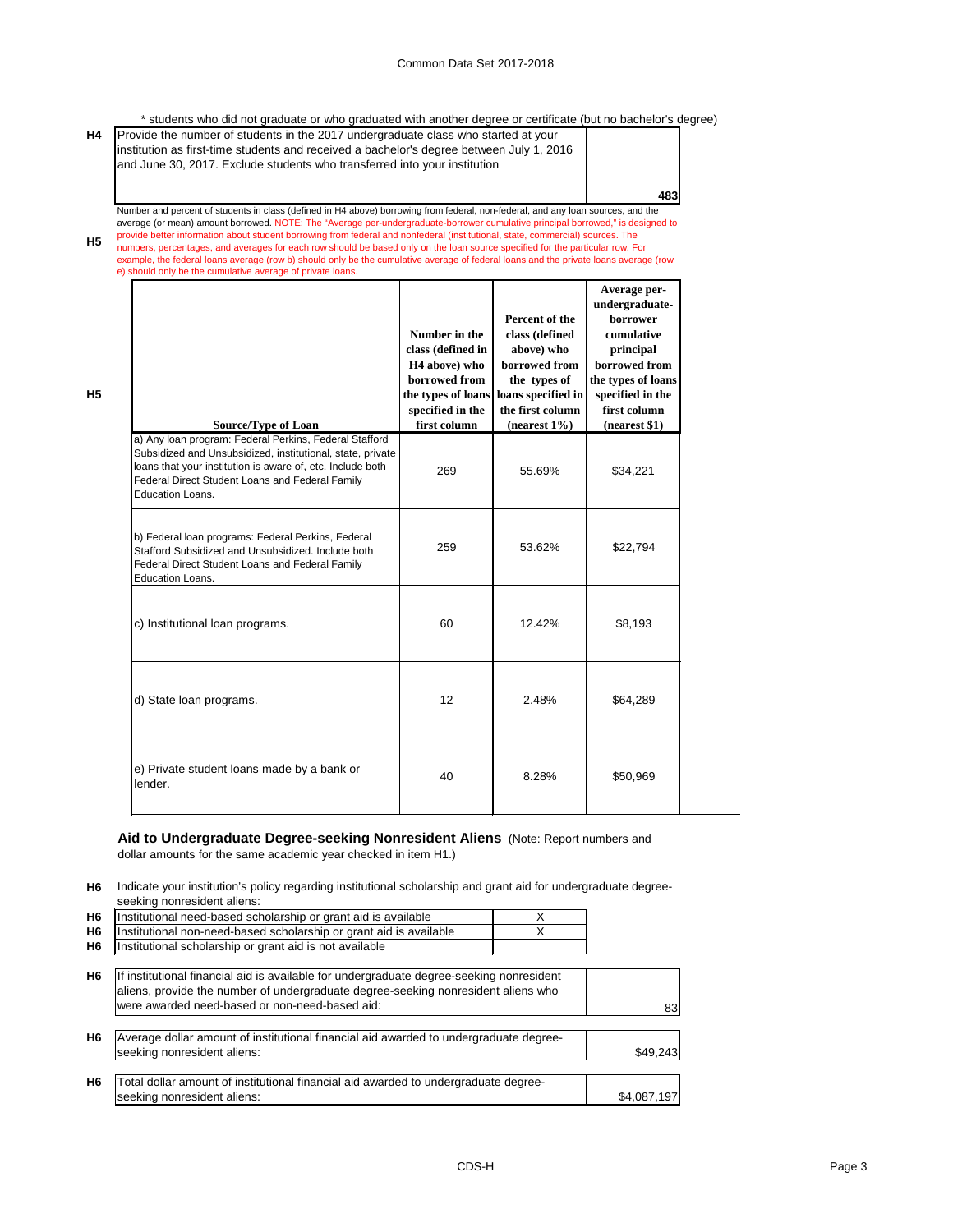\* students who did not graduate or who graduated with another degree or certificate (but no bachelor's degree)

| and June 30, 2017. Exclude students who transferred into your institution |     |
|---------------------------------------------------------------------------|-----|
|                                                                           | 483 |

**H5** provide better information about student borrowing from federal and nonfederal (institutional, state, commercial) sources. The particular row Formation about state and averages for each row should be based only on the Number and percent of students in class (defined in H4 above) borrowing from federal, non-federal, and any loan sources, and the average (or mean) amount borrowed. NOTE: The "Average per-undergraduate-borrower cumulative principal borrowed," is designed to numbers, percentages, and averages for each row should be based only on the loan source specified for the particular row. For example, the federal loans average (row b) should only be the cumulative average of federal loans and the private loans average (row

e) should only be the cumulative average of private loans.

**H5**

| <b>Source/Type of Loan</b>                                                                                                                                                                                                                                | Number in the<br>class (defined in<br>H <sub>4</sub> above) who<br>borrowed from<br>specified in the<br>first column | Percent of the<br>class (defined<br>above) who<br>borrowed from<br>the types of<br>the types of loans   loans specified in<br>the first column<br>(nearest $1\%$ ) | Average per-<br>undergraduate-<br>borrower<br>cumulative<br>principal<br>borrowed from<br>the types of loans<br>specified in the<br>first column<br>(nearest \$1) |
|-----------------------------------------------------------------------------------------------------------------------------------------------------------------------------------------------------------------------------------------------------------|----------------------------------------------------------------------------------------------------------------------|--------------------------------------------------------------------------------------------------------------------------------------------------------------------|-------------------------------------------------------------------------------------------------------------------------------------------------------------------|
| a) Any loan program: Federal Perkins, Federal Stafford<br>Subsidized and Unsubsidized, institutional, state, private<br>loans that your institution is aware of, etc. Include both<br>Federal Direct Student Loans and Federal Family<br>Education Loans. | 269                                                                                                                  | 55.69%                                                                                                                                                             | \$34,221                                                                                                                                                          |
| b) Federal loan programs: Federal Perkins, Federal<br>Stafford Subsidized and Unsubsidized. Include both<br>Federal Direct Student Loans and Federal Family<br><b>Education Loans.</b>                                                                    | 259                                                                                                                  | 53.62%                                                                                                                                                             | \$22,794                                                                                                                                                          |
| c) Institutional loan programs.                                                                                                                                                                                                                           | 60                                                                                                                   | 12.42%                                                                                                                                                             | \$8,193                                                                                                                                                           |
| d) State loan programs.                                                                                                                                                                                                                                   | 12                                                                                                                   | 2.48%                                                                                                                                                              | \$64,289                                                                                                                                                          |
| e) Private student loans made by a bank or<br>lender.                                                                                                                                                                                                     | 40                                                                                                                   | 8.28%                                                                                                                                                              | \$50,969                                                                                                                                                          |

### **Aid to Undergraduate Degree-seeking Nonresident Aliens** (Note: Report numbers and dollar amounts for the same academic year checked in item H1.)

**H6** Indicate your institution's policy regarding institutional scholarship and grant aid for undergraduate degreeseeking nonresident aliens:

| H <sub>6</sub> | Institutional need-based scholarship or grant aid is available     |  |
|----------------|--------------------------------------------------------------------|--|
| <b>H6</b>      | Institutional non-need-based scholarship or grant aid is available |  |
| H6             | Institutional scholarship or grant aid is not available            |  |

| H <sub>6</sub> | If institutional financial aid is available for undergraduate degree-seeking nonresident<br>aliens, provide the number of undergraduate degree-seeking nonresident aliens who |             |
|----------------|-------------------------------------------------------------------------------------------------------------------------------------------------------------------------------|-------------|
|                | were awarded need-based or non-need-based aid:                                                                                                                                | 83          |
| H <sub>6</sub> | Average dollar amount of institutional financial aid awarded to undergraduate degree-<br>seeking nonresident aliens:                                                          | \$49,243    |
| H <sub>6</sub> | Total dollar amount of institutional financial aid awarded to undergraduate degree-<br>seeking nonresident aliens:                                                            | \$4,087,197 |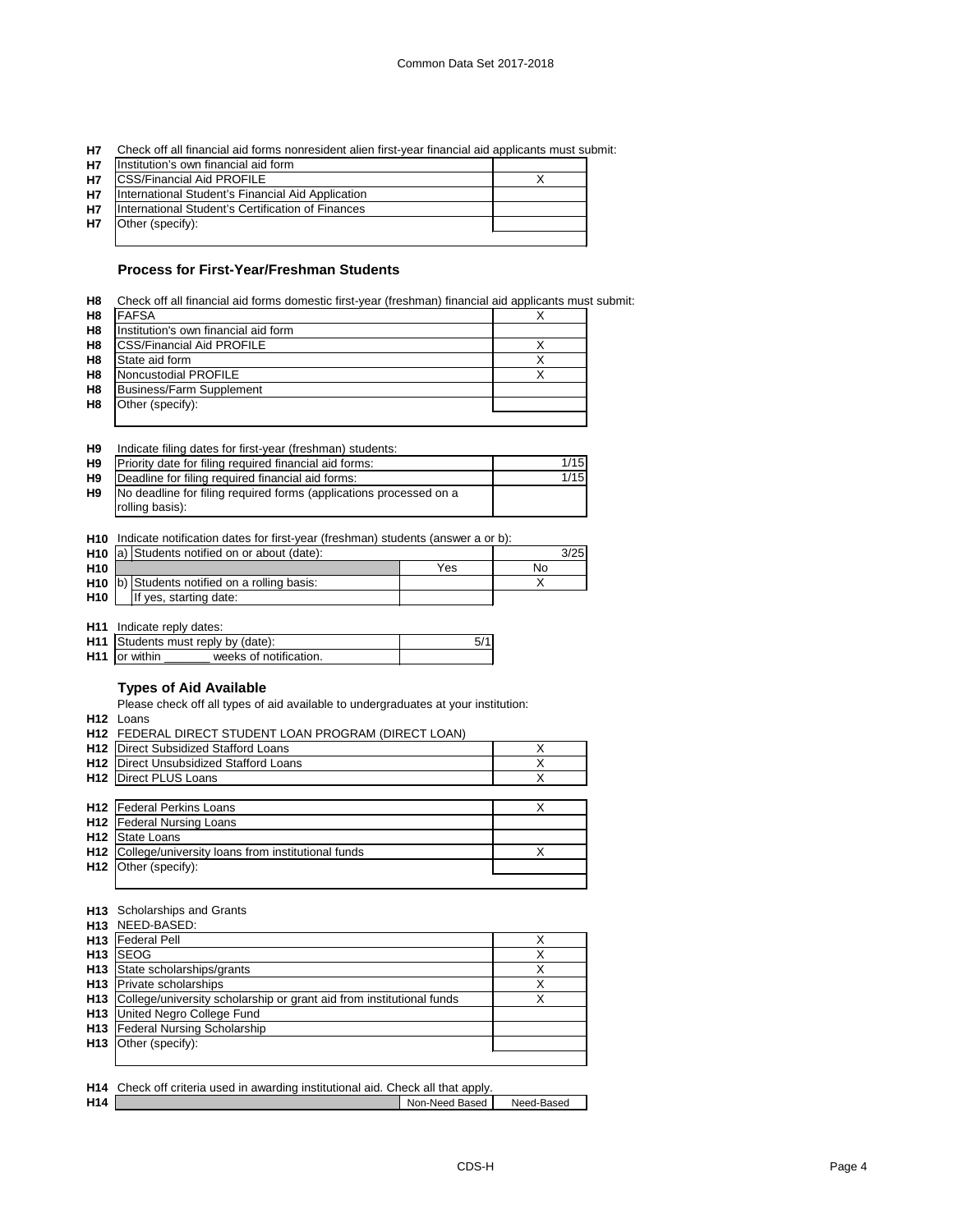**H7** Check off all financial aid forms nonresident alien first-year financial aid applicants must submit:

| <b>H7</b> | Institution's own financial aid form              |  |
|-----------|---------------------------------------------------|--|
| <b>H7</b> | <b>ICSS/Financial Aid PROFILE</b>                 |  |
| <b>H7</b> | International Student's Financial Aid Application |  |
| <b>H7</b> | International Student's Certification of Finances |  |
| <b>H7</b> | Other (specify):                                  |  |
|           |                                                   |  |

### **Process for First-Year/Freshman Students**

| H <sub>8</sub> | Check off all financial aid forms domestic first-year (freshman) financial aid applicants must submit: |  |
|----------------|--------------------------------------------------------------------------------------------------------|--|
| H <sub>8</sub> | <b>FAFSA</b>                                                                                           |  |
| H <sub>8</sub> | Institution's own financial aid form                                                                   |  |
| H <sub>8</sub> | <b>CSS/Financial Aid PROFILE</b>                                                                       |  |
| H <sub>8</sub> | State aid form                                                                                         |  |
| H <sub>8</sub> | Noncustodial PROFILE                                                                                   |  |
| H <sub>8</sub> | <b>Business/Farm Supplement</b>                                                                        |  |
| H <sub>8</sub> | Other (specify):                                                                                       |  |
|                |                                                                                                        |  |

#### **H9** Indicate filing dates for first-year (freshman) students:

| H <sub>9</sub> | Priority date for filing required financial aid forms:             | 1/15 |
|----------------|--------------------------------------------------------------------|------|
| H <sub>9</sub> | Deadline for filing required financial aid forms:                  | 1/15 |
| H <sub>9</sub> | No deadline for filing required forms (applications processed on a |      |
|                | rolling basis):                                                    |      |

### **H10** Indicate notification dates for first-year (freshman) students (answer a or b):

|                 | H <sub>10</sub> a) Students notified on or about (date): |                                                             | 3/25 |    |
|-----------------|----------------------------------------------------------|-------------------------------------------------------------|------|----|
| H <sub>10</sub> |                                                          |                                                             | Yes  | Nο |
|                 |                                                          | <b>H10</b> $\vert$ b) Students notified on a rolling basis: |      |    |
| H <sub>10</sub> |                                                          | If yes, starting date:                                      |      |    |

**H11** Indicate reply dates:

| <b>H11</b> Students must reply by (date):      |  |
|------------------------------------------------|--|
| <b>H11</b> or within<br>weeks of notification. |  |

## **Types of Aid Available**

Please check off all types of aid available to undergraduates at your institution:

**H12** Loans

|                 | H12 FEDERAL DIRECT STUDENT LOAN PROGRAM (DIRECT LOAN) |   |
|-----------------|-------------------------------------------------------|---|
| H <sub>12</sub> | Direct Subsidized Stafford Loans                      | х |
| H <sub>12</sub> | Direct Unsubsidized Stafford Loans                    | х |
| H <sub>12</sub> | Direct PLUS Loans                                     | Χ |
|                 |                                                       |   |
|                 | <b>H12</b>   Federal Perkins Loans                    | Χ |
|                 | <b>H12</b>   Federal Nursing Loans                    |   |
| H <sub>12</sub> | State Loans                                           |   |
| H <sub>12</sub> | College/university loans from institutional funds     | Χ |
| H <sub>12</sub> | Other (specify):                                      |   |
|                 |                                                       |   |

#### **H13** Scholarships and Grants

|                 | H <sub>13</sub> NEED-BASED:                                          |   |
|-----------------|----------------------------------------------------------------------|---|
| H <sub>13</sub> | <b>Federal Pell</b>                                                  |   |
| H <sub>13</sub> | <b>SEOG</b>                                                          | х |
| H <sub>13</sub> | State scholarships/grants                                            | Х |
| H <sub>13</sub> | <b>Private scholarships</b>                                          |   |
| H <sub>13</sub> | College/university scholarship or grant aid from institutional funds |   |
| H <sub>13</sub> | United Negro College Fund                                            |   |
|                 | <b>H13</b> Federal Nursing Scholarship                               |   |
| H <sub>13</sub> | Other (specify):                                                     |   |
|                 |                                                                      |   |

|                 | H14 Check off criteria used in awarding institutional aid. Check all that apply. |                |            |
|-----------------|----------------------------------------------------------------------------------|----------------|------------|
| H <sub>14</sub> |                                                                                  | Non-Need Based | Need-Based |